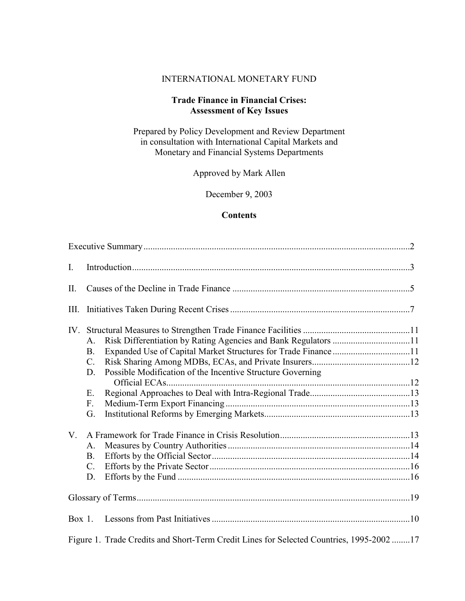#### INTERNATIONAL MONETARY FUND

# **Trade Finance in Financial Crises: Assessment of Key Issues**

Prepared by Policy Development and Review Department in consultation with International Capital Markets and Monetary and Financial Systems Departments

Approved by Mark Allen

December 9, 2003

#### **Contents**

| $\mathbf{I}$ . |                                                                                                                      |  |
|----------------|----------------------------------------------------------------------------------------------------------------------|--|
| II.            |                                                                                                                      |  |
| III.           |                                                                                                                      |  |
|                | A.<br><b>B.</b><br>$C_{\cdot}$<br>D.<br>Possible Modification of the Incentive Structure Governing<br>Ε.<br>F.<br>G. |  |
| $V_{\cdot}$    | A.<br>B <sub>1</sub><br>$C_{\cdot}$<br>D.                                                                            |  |
|                |                                                                                                                      |  |
|                | Figure 1. Trade Credits and Short-Term Credit Lines for Selected Countries, 1995-2002 17                             |  |
|                |                                                                                                                      |  |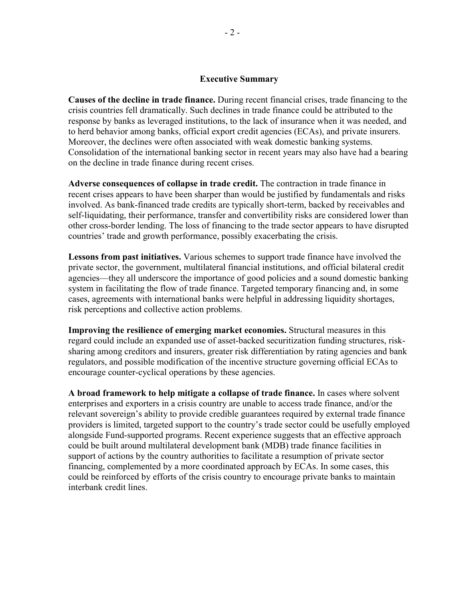#### **Executive Summary**

**Causes of the decline in trade finance.** During recent financial crises, trade financing to the crisis countries fell dramatically. Such declines in trade finance could be attributed to the response by banks as leveraged institutions, to the lack of insurance when it was needed, and to herd behavior among banks, official export credit agencies (ECAs), and private insurers. Moreover, the declines were often associated with weak domestic banking systems. Consolidation of the international banking sector in recent years may also have had a bearing on the decline in trade finance during recent crises.

**Adverse consequences of collapse in trade credit.** The contraction in trade finance in recent crises appears to have been sharper than would be justified by fundamentals and risks involved. As bank-financed trade credits are typically short-term, backed by receivables and self-liquidating, their performance, transfer and convertibility risks are considered lower than other cross-border lending. The loss of financing to the trade sector appears to have disrupted countries' trade and growth performance, possibly exacerbating the crisis.

**Lessons from past initiatives.** Various schemes to support trade finance have involved the private sector, the government, multilateral financial institutions, and official bilateral credit agencies—they all underscore the importance of good policies and a sound domestic banking system in facilitating the flow of trade finance. Targeted temporary financing and, in some cases, agreements with international banks were helpful in addressing liquidity shortages, risk perceptions and collective action problems.

**Improving the resilience of emerging market economies.** Structural measures in this regard could include an expanded use of asset-backed securitization funding structures, risksharing among creditors and insurers, greater risk differentiation by rating agencies and bank regulators, and possible modification of the incentive structure governing official ECAs to encourage counter-cyclical operations by these agencies.

**A broad framework to help mitigate a collapse of trade finance.** In cases where solvent enterprises and exporters in a crisis country are unable to access trade finance, and/or the relevant sovereign's ability to provide credible guarantees required by external trade finance providers is limited, targeted support to the country's trade sector could be usefully employed alongside Fund-supported programs. Recent experience suggests that an effective approach could be built around multilateral development bank (MDB) trade finance facilities in support of actions by the country authorities to facilitate a resumption of private sector financing, complemented by a more coordinated approach by ECAs. In some cases, this could be reinforced by efforts of the crisis country to encourage private banks to maintain interbank credit lines.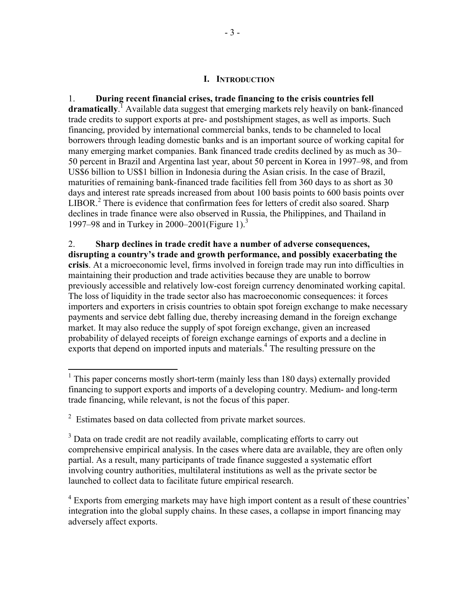#### **I. INTRODUCTION**

1. **During recent financial crises, trade financing to the crisis countries fell**  dramatically.<sup>T</sup> Available data suggest that emerging markets rely heavily on bank-financed trade credits to support exports at pre- and postshipment stages, as well as imports. Such financing, provided by international commercial banks, tends to be channeled to local borrowers through leading domestic banks and is an important source of working capital for many emerging market companies. Bank financed trade credits declined by as much as 30– 50 percent in Brazil and Argentina last year, about 50 percent in Korea in 1997–98, and from US\$6 billion to US\$1 billion in Indonesia during the Asian crisis. In the case of Brazil, maturities of remaining bank-financed trade facilities fell from 360 days to as short as 30 days and interest rate spreads increased from about 100 basis points to 600 basis points over LIBOR.<sup>2</sup> There is evidence that confirmation fees for letters of credit also soared. Sharp declines in trade finance were also observed in Russia, the Philippines, and Thailand in 1997–98 and in Turkey in 2000–2001(Figure 1).<sup>3</sup>

2. **Sharp declines in trade credit have a number of adverse consequences, disrupting a country's trade and growth performance, and possibly exacerbating the crisis**. At a microeconomic level, firms involved in foreign trade may run into difficulties in maintaining their production and trade activities because they are unable to borrow previously accessible and relatively low-cost foreign currency denominated working capital. The loss of liquidity in the trade sector also has macroeconomic consequences: it forces importers and exporters in crisis countries to obtain spot foreign exchange to make necessary payments and service debt falling due, thereby increasing demand in the foreign exchange market. It may also reduce the supply of spot foreign exchange, given an increased probability of delayed receipts of foreign exchange earnings of exports and a decline in exports that depend on imported inputs and materials.<sup>4</sup> The resulting pressure on the

1

<sup>&</sup>lt;sup>1</sup> This paper concerns mostly short-term (mainly less than 180 days) externally provided financing to support exports and imports of a developing country. Medium- and long-term trade financing, while relevant, is not the focus of this paper.

 $2$  Estimates based on data collected from private market sources.

<sup>&</sup>lt;sup>3</sup> Data on trade credit are not readily available, complicating efforts to carry out comprehensive empirical analysis. In the cases where data are available, they are often only partial. As a result, many participants of trade finance suggested a systematic effort involving country authorities, multilateral institutions as well as the private sector be launched to collect data to facilitate future empirical research.

 $4$  Exports from emerging markets may have high import content as a result of these countries' integration into the global supply chains. In these cases, a collapse in import financing may adversely affect exports.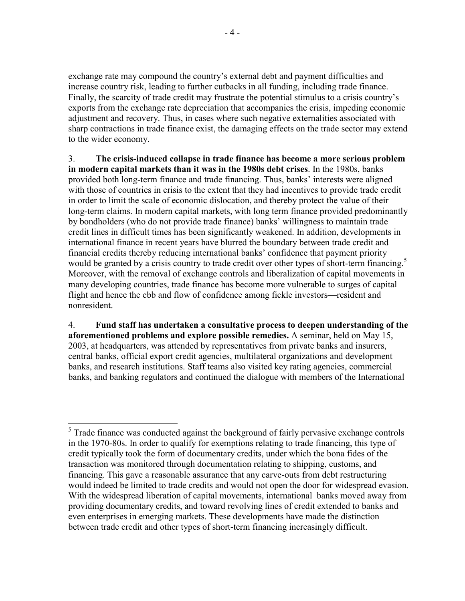exchange rate may compound the country's external debt and payment difficulties and increase country risk, leading to further cutbacks in all funding, including trade finance. Finally, the scarcity of trade credit may frustrate the potential stimulus to a crisis country's exports from the exchange rate depreciation that accompanies the crisis, impeding economic adjustment and recovery. Thus, in cases where such negative externalities associated with sharp contractions in trade finance exist, the damaging effects on the trade sector may extend to the wider economy.

3. **The crisis-induced collapse in trade finance has become a more serious problem in modern capital markets than it was in the 1980s debt crises**. In the 1980s, banks provided both long-term finance and trade financing. Thus, banks' interests were aligned with those of countries in crisis to the extent that they had incentives to provide trade credit in order to limit the scale of economic dislocation, and thereby protect the value of their long-term claims. In modern capital markets, with long term finance provided predominantly by bondholders (who do not provide trade finance) banks' willingness to maintain trade credit lines in difficult times has been significantly weakened. In addition, developments in international finance in recent years have blurred the boundary between trade credit and financial credits thereby reducing international banks' confidence that payment priority would be granted by a crisis country to trade credit over other types of short-term financing.<sup>5</sup> Moreover, with the removal of exchange controls and liberalization of capital movements in many developing countries, trade finance has become more vulnerable to surges of capital flight and hence the ebb and flow of confidence among fickle investors—resident and nonresident.

4. **Fund staff has undertaken a consultative process to deepen understanding of the aforementioned problems and explore possible remedies.** A seminar, held on May 15, 2003, at headquarters, was attended by representatives from private banks and insurers, central banks, official export credit agencies, multilateral organizations and development banks, and research institutions. Staff teams also visited key rating agencies, commercial banks, and banking regulators and continued the dialogue with members of the International

1

 $<sup>5</sup>$  Trade finance was conducted against the background of fairly pervasive exchange controls</sup> in the 1970-80s. In order to qualify for exemptions relating to trade financing, this type of credit typically took the form of documentary credits, under which the bona fides of the transaction was monitored through documentation relating to shipping, customs, and financing. This gave a reasonable assurance that any carve-outs from debt restructuring would indeed be limited to trade credits and would not open the door for widespread evasion. With the widespread liberation of capital movements, international banks moved away from providing documentary credits, and toward revolving lines of credit extended to banks and even enterprises in emerging markets. These developments have made the distinction between trade credit and other types of short-term financing increasingly difficult.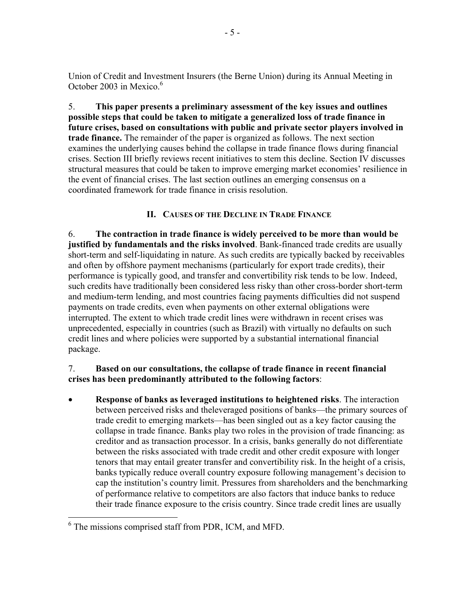Union of Credit and Investment Insurers (the Berne Union) during its Annual Meeting in October 2003 in Mexico.<sup>6</sup>

5. **This paper presents a preliminary assessment of the key issues and outlines possible steps that could be taken to mitigate a generalized loss of trade finance in future crises, based on consultations with public and private sector players involved in trade finance.** The remainder of the paper is organized as follows. The next section examines the underlying causes behind the collapse in trade finance flows during financial crises. Section III briefly reviews recent initiatives to stem this decline. Section IV discusses structural measures that could be taken to improve emerging market economies' resilience in the event of financial crises. The last section outlines an emerging consensus on a coordinated framework for trade finance in crisis resolution.

# **II. CAUSES OF THE DECLINE IN TRADE FINANCE**

6. **The contraction in trade finance is widely perceived to be more than would be justified by fundamentals and the risks involved**. Bank-financed trade credits are usually short-term and self-liquidating in nature. As such credits are typically backed by receivables and often by offshore payment mechanisms (particularly for export trade credits), their performance is typically good, and transfer and convertibility risk tends to be low. Indeed, such credits have traditionally been considered less risky than other cross-border short-term and medium-term lending, and most countries facing payments difficulties did not suspend payments on trade credits, even when payments on other external obligations were interrupted. The extent to which trade credit lines were withdrawn in recent crises was unprecedented, especially in countries (such as Brazil) with virtually no defaults on such credit lines and where policies were supported by a substantial international financial package.

# 7. **Based on our consultations, the collapse of trade finance in recent financial crises has been predominantly attributed to the following factors**:

• **Response of banks as leveraged institutions to heightened risks**. The interaction between perceived risks and theleveraged positions of banks—the primary sources of trade credit to emerging markets—has been singled out as a key factor causing the collapse in trade finance. Banks play two roles in the provision of trade financing: as creditor and as transaction processor. In a crisis, banks generally do not differentiate between the risks associated with trade credit and other credit exposure with longer tenors that may entail greater transfer and convertibility risk. In the height of a crisis, banks typically reduce overall country exposure following management's decision to cap the institution's country limit. Pressures from shareholders and the benchmarking of performance relative to competitors are also factors that induce banks to reduce their trade finance exposure to the crisis country. Since trade credit lines are usually

<sup>1</sup> 6 The missions comprised staff from PDR, ICM, and MFD.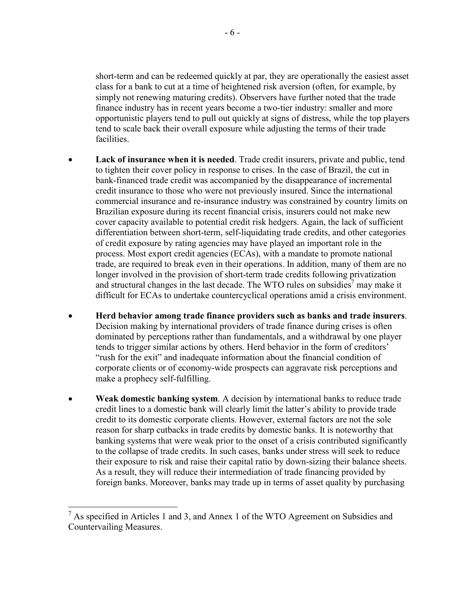short-term and can be redeemed quickly at par, they are operationally the easiest asset class for a bank to cut at a time of heightened risk aversion (often, for example, by simply not renewing maturing credits). Observers have further noted that the trade finance industry has in recent years become a two-tier industry: smaller and more opportunistic players tend to pull out quickly at signs of distress, while the top players tend to scale back their overall exposure while adjusting the terms of their trade facilities.

- **Lack of insurance when it is needed**. Trade credit insurers, private and public, tend to tighten their cover policy in response to crises. In the case of Brazil, the cut in bank-financed trade credit was accompanied by the disappearance of incremental credit insurance to those who were not previously insured. Since the international commercial insurance and re-insurance industry was constrained by country limits on Brazilian exposure during its recent financial crisis, insurers could not make new cover capacity available to potential credit risk hedgers. Again, the lack of sufficient differentiation between short-term, self-liquidating trade credits, and other categories of credit exposure by rating agencies may have played an important role in the process. Most export credit agencies (ECAs), with a mandate to promote national trade, are required to break even in their operations. In addition, many of them are no longer involved in the provision of short-term trade credits following privatization and structural changes in the last decade. The WTO rules on subsidies<sup>7</sup> may make it difficult for ECAs to undertake countercyclical operations amid a crisis environment.
- **Herd behavior among trade finance providers such as banks and trade insurers**. Decision making by international providers of trade finance during crises is often dominated by perceptions rather than fundamentals, and a withdrawal by one player tends to trigger similar actions by others. Herd behavior in the form of creditors' "rush for the exit" and inadequate information about the financial condition of corporate clients or of economy-wide prospects can aggravate risk perceptions and make a prophecy self-fulfilling.
- **Weak domestic banking system**. A decision by international banks to reduce trade credit lines to a domestic bank will clearly limit the latter's ability to provide trade credit to its domestic corporate clients. However, external factors are not the sole reason for sharp cutbacks in trade credits by domestic banks. It is noteworthy that banking systems that were weak prior to the onset of a crisis contributed significantly to the collapse of trade credits. In such cases, banks under stress will seek to reduce their exposure to risk and raise their capital ratio by down-sizing their balance sheets. As a result, they will reduce their intermediation of trade financing provided by foreign banks. Moreover, banks may trade up in terms of asset quality by purchasing

<u>.</u>

 $<sup>7</sup>$  As specified in Articles 1 and 3, and Annex 1 of the WTO Agreement on Subsidies and</sup> Countervailing Measures.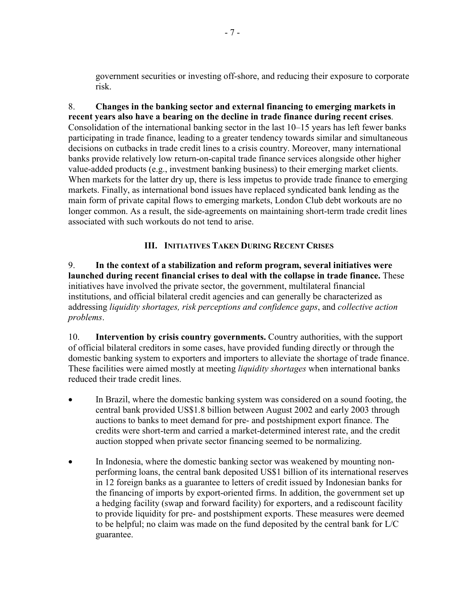government securities or investing off-shore, and reducing their exposure to corporate risk.

8. **Changes in the banking sector and external financing to emerging markets in recent years also have a bearing on the decline in trade finance during recent crises**. Consolidation of the international banking sector in the last 10–15 years has left fewer banks participating in trade finance, leading to a greater tendency towards similar and simultaneous decisions on cutbacks in trade credit lines to a crisis country. Moreover, many international banks provide relatively low return-on-capital trade finance services alongside other higher value-added products (e.g., investment banking business) to their emerging market clients. When markets for the latter dry up, there is less impetus to provide trade finance to emerging markets. Finally, as international bond issues have replaced syndicated bank lending as the main form of private capital flows to emerging markets, London Club debt workouts are no longer common. As a result, the side-agreements on maintaining short-term trade credit lines associated with such workouts do not tend to arise.

# **III. INITIATIVES TAKEN DURING RECENT CRISES**

9. **In the context of a stabilization and reform program, several initiatives were launched during recent financial crises to deal with the collapse in trade finance.** These initiatives have involved the private sector, the government, multilateral financial institutions, and official bilateral credit agencies and can generally be characterized as addressing *liquidity shortages, risk perceptions and confidence gaps*, and *collective action problems*.

10. **Intervention by crisis country governments.** Country authorities, with the support of official bilateral creditors in some cases, have provided funding directly or through the domestic banking system to exporters and importers to alleviate the shortage of trade finance. These facilities were aimed mostly at meeting *liquidity shortages* when international banks reduced their trade credit lines.

- In Brazil, where the domestic banking system was considered on a sound footing, the central bank provided US\$1.8 billion between August 2002 and early 2003 through auctions to banks to meet demand for pre- and postshipment export finance. The credits were short-term and carried a market-determined interest rate, and the credit auction stopped when private sector financing seemed to be normalizing.
- In Indonesia, where the domestic banking sector was weakened by mounting nonperforming loans, the central bank deposited US\$1 billion of its international reserves in 12 foreign banks as a guarantee to letters of credit issued by Indonesian banks for the financing of imports by export-oriented firms. In addition, the government set up a hedging facility (swap and forward facility) for exporters, and a rediscount facility to provide liquidity for pre- and postshipment exports. These measures were deemed to be helpful; no claim was made on the fund deposited by the central bank for L/C guarantee.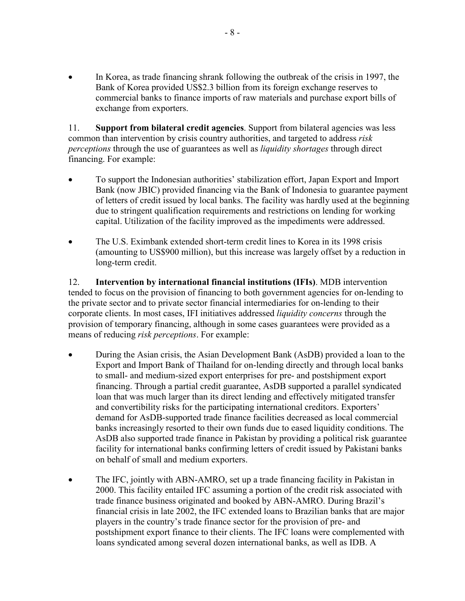In Korea, as trade financing shrank following the outbreak of the crisis in 1997, the Bank of Korea provided US\$2.3 billion from its foreign exchange reserves to commercial banks to finance imports of raw materials and purchase export bills of exchange from exporters.

11. **Support from bilateral credit agencies**. Support from bilateral agencies was less common than intervention by crisis country authorities, and targeted to address *risk perceptions* through the use of guarantees as well as *liquidity shortages* through direct financing. For example:

- To support the Indonesian authorities' stabilization effort, Japan Export and Import Bank (now JBIC) provided financing via the Bank of Indonesia to guarantee payment of letters of credit issued by local banks. The facility was hardly used at the beginning due to stringent qualification requirements and restrictions on lending for working capital. Utilization of the facility improved as the impediments were addressed.
- The U.S. Eximbank extended short-term credit lines to Korea in its 1998 crisis (amounting to US\$900 million), but this increase was largely offset by a reduction in long-term credit.

12. **Intervention by international financial institutions (IFIs)**. MDB intervention tended to focus on the provision of financing to both government agencies for on-lending to the private sector and to private sector financial intermediaries for on-lending to their corporate clients. In most cases, IFI initiatives addressed *liquidity concerns* through the provision of temporary financing, although in some cases guarantees were provided as a means of reducing *risk perceptions*. For example:

- During the Asian crisis, the Asian Development Bank (AsDB) provided a loan to the Export and Import Bank of Thailand for on-lending directly and through local banks to small- and medium-sized export enterprises for pre- and postshipment export financing. Through a partial credit guarantee, AsDB supported a parallel syndicated loan that was much larger than its direct lending and effectively mitigated transfer and convertibility risks for the participating international creditors. Exporters' demand for AsDB-supported trade finance facilities decreased as local commercial banks increasingly resorted to their own funds due to eased liquidity conditions. The AsDB also supported trade finance in Pakistan by providing a political risk guarantee facility for international banks confirming letters of credit issued by Pakistani banks on behalf of small and medium exporters.
- The IFC, jointly with ABN-AMRO, set up a trade financing facility in Pakistan in 2000. This facility entailed IFC assuming a portion of the credit risk associated with trade finance business originated and booked by ABN-AMRO. During Brazil's financial crisis in late 2002, the IFC extended loans to Brazilian banks that are major players in the country's trade finance sector for the provision of pre- and postshipment export finance to their clients. The IFC loans were complemented with loans syndicated among several dozen international banks, as well as IDB. A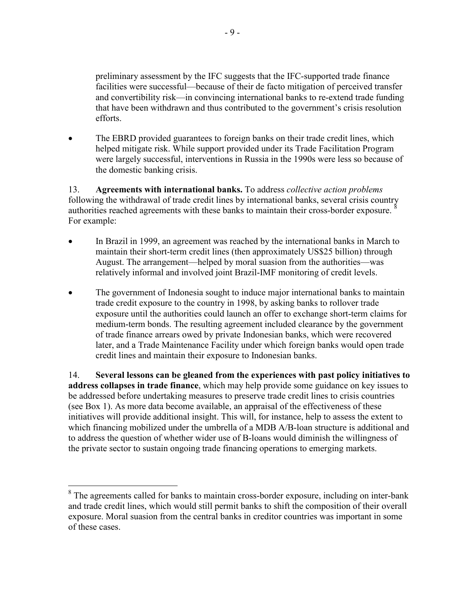preliminary assessment by the IFC suggests that the IFC-supported trade finance facilities were successful—because of their de facto mitigation of perceived transfer and convertibility risk—in convincing international banks to re-extend trade funding that have been withdrawn and thus contributed to the government's crisis resolution efforts.

The EBRD provided guarantees to foreign banks on their trade credit lines, which helped mitigate risk. While support provided under its Trade Facilitation Program were largely successful, interventions in Russia in the 1990s were less so because of the domestic banking crisis.

13. **Agreements with international banks.** To address *collective action problems* following the withdrawal of trade credit lines by international banks, several crisis country authorities reached agreements with these banks to maintain their cross-border exposure. For example:

- In Brazil in 1999, an agreement was reached by the international banks in March to maintain their short-term credit lines (then approximately US\$25 billion) through August. The arrangement—helped by moral suasion from the authorities—was relatively informal and involved joint Brazil-IMF monitoring of credit levels.
- The government of Indonesia sought to induce major international banks to maintain trade credit exposure to the country in 1998, by asking banks to rollover trade exposure until the authorities could launch an offer to exchange short-term claims for medium-term bonds. The resulting agreement included clearance by the government of trade finance arrears owed by private Indonesian banks, which were recovered later, and a Trade Maintenance Facility under which foreign banks would open trade credit lines and maintain their exposure to Indonesian banks.

14. **Several lessons can be gleaned from the experiences with past policy initiatives to address collapses in trade finance**, which may help provide some guidance on key issues to be addressed before undertaking measures to preserve trade credit lines to crisis countries (see Box 1). As more data become available, an appraisal of the effectiveness of these initiatives will provide additional insight. This will, for instance, help to assess the extent to which financing mobilized under the umbrella of a MDB A/B-loan structure is additional and to address the question of whether wider use of B-loans would diminish the willingness of the private sector to sustain ongoing trade financing operations to emerging markets.

 $\overline{a}$ 

 $8$  The agreements called for banks to maintain cross-border exposure, including on inter-bank and trade credit lines, which would still permit banks to shift the composition of their overall exposure. Moral suasion from the central banks in creditor countries was important in some of these cases.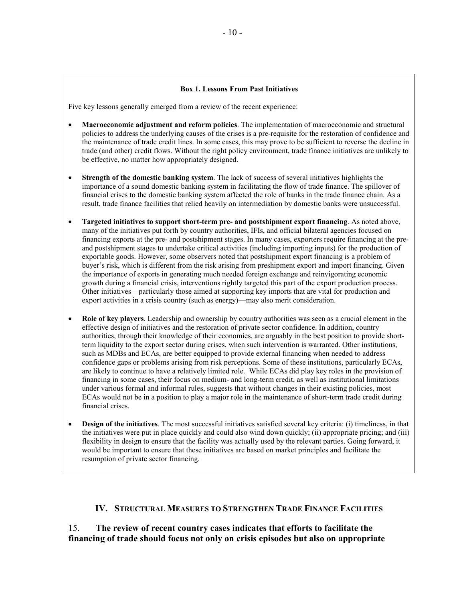#### **Box 1. Lessons From Past Initiatives**

Five key lessons generally emerged from a review of the recent experience:

- **Macroeconomic adjustment and reform policies**. The implementation of macroeconomic and structural policies to address the underlying causes of the crises is a pre-requisite for the restoration of confidence and the maintenance of trade credit lines. In some cases, this may prove to be sufficient to reverse the decline in trade (and other) credit flows. Without the right policy environment, trade finance initiatives are unlikely to be effective, no matter how appropriately designed.
- **Strength of the domestic banking system**. The lack of success of several initiatives highlights the importance of a sound domestic banking system in facilitating the flow of trade finance. The spillover of financial crises to the domestic banking system affected the role of banks in the trade finance chain. As a result, trade finance facilities that relied heavily on intermediation by domestic banks were unsuccessful.
- **Targeted initiatives to support short-term pre- and postshipment export financing**. As noted above, many of the initiatives put forth by country authorities, IFIs, and official bilateral agencies focused on financing exports at the pre- and postshipment stages. In many cases, exporters require financing at the preand postshipment stages to undertake critical activities (including importing inputs) for the production of exportable goods. However, some observers noted that postshipment export financing is a problem of buyer's risk, which is different from the risk arising from preshipment export and import financing. Given the importance of exports in generating much needed foreign exchange and reinvigorating economic growth during a financial crisis, interventions rightly targeted this part of the export production process. Other initiatives—particularly those aimed at supporting key imports that are vital for production and export activities in a crisis country (such as energy)—may also merit consideration.
- **Role of key players**. Leadership and ownership by country authorities was seen as a crucial element in the effective design of initiatives and the restoration of private sector confidence. In addition, country authorities, through their knowledge of their economies, are arguably in the best position to provide shortterm liquidity to the export sector during crises, when such intervention is warranted. Other institutions, such as MDBs and ECAs, are better equipped to provide external financing when needed to address confidence gaps or problems arising from risk perceptions. Some of these institutions, particularly ECAs, are likely to continue to have a relatively limited role. While ECAs did play key roles in the provision of financing in some cases, their focus on medium- and long-term credit, as well as institutional limitations under various formal and informal rules, suggests that without changes in their existing policies, most ECAs would not be in a position to play a major role in the maintenance of short-term trade credit during financial crises.
- **Design of the initiatives**. The most successful initiatives satisfied several key criteria: (i) timeliness, in that the initiatives were put in place quickly and could also wind down quickly; (ii) appropriate pricing; and (iii) flexibility in design to ensure that the facility was actually used by the relevant parties. Going forward, it would be important to ensure that these initiatives are based on market principles and facilitate the resumption of private sector financing.

#### **IV. STRUCTURAL MEASURES TO STRENGTHEN TRADE FINANCE FACILITIES**

15. **The review of recent country cases indicates that efforts to facilitate the financing of trade should focus not only on crisis episodes but also on appropriate**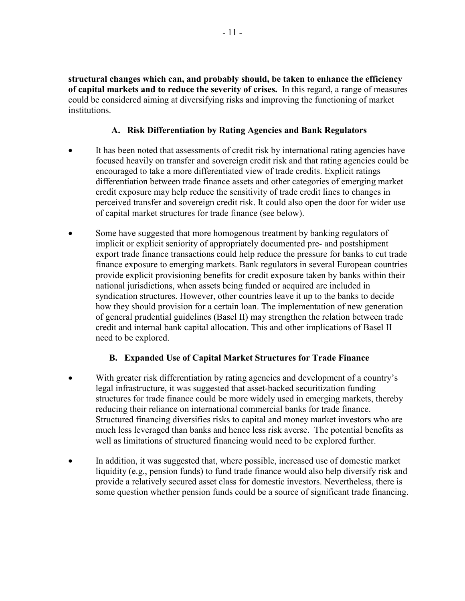**structural changes which can, and probably should, be taken to enhance the efficiency of capital markets and to reduce the severity of crises.** In this regard, a range of measures could be considered aiming at diversifying risks and improving the functioning of market institutions.

#### **A. Risk Differentiation by Rating Agencies and Bank Regulators**

- It has been noted that assessments of credit risk by international rating agencies have focused heavily on transfer and sovereign credit risk and that rating agencies could be encouraged to take a more differentiated view of trade credits. Explicit ratings differentiation between trade finance assets and other categories of emerging market credit exposure may help reduce the sensitivity of trade credit lines to changes in perceived transfer and sovereign credit risk. It could also open the door for wider use of capital market structures for trade finance (see below).
- Some have suggested that more homogenous treatment by banking regulators of implicit or explicit seniority of appropriately documented pre- and postshipment export trade finance transactions could help reduce the pressure for banks to cut trade finance exposure to emerging markets. Bank regulators in several European countries provide explicit provisioning benefits for credit exposure taken by banks within their national jurisdictions, when assets being funded or acquired are included in syndication structures. However, other countries leave it up to the banks to decide how they should provision for a certain loan. The implementation of new generation of general prudential guidelines (Basel II) may strengthen the relation between trade credit and internal bank capital allocation. This and other implications of Basel II need to be explored.

# **B. Expanded Use of Capital Market Structures for Trade Finance**

- With greater risk differentiation by rating agencies and development of a country's legal infrastructure, it was suggested that asset-backed securitization funding structures for trade finance could be more widely used in emerging markets, thereby reducing their reliance on international commercial banks for trade finance. Structured financing diversifies risks to capital and money market investors who are much less leveraged than banks and hence less risk averse. The potential benefits as well as limitations of structured financing would need to be explored further.
- In addition, it was suggested that, where possible, increased use of domestic market liquidity (e.g., pension funds) to fund trade finance would also help diversify risk and provide a relatively secured asset class for domestic investors. Nevertheless, there is some question whether pension funds could be a source of significant trade financing.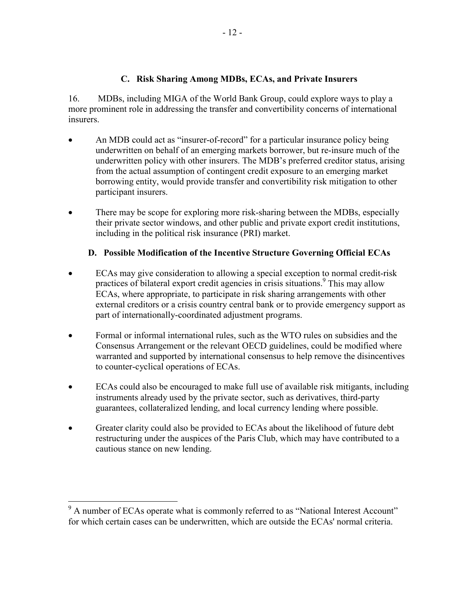# **C. Risk Sharing Among MDBs, ECAs, and Private Insurers**

16. MDBs, including MIGA of the World Bank Group, could explore ways to play a more prominent role in addressing the transfer and convertibility concerns of international insurers.

- An MDB could act as "insurer-of-record" for a particular insurance policy being underwritten on behalf of an emerging markets borrower, but re-insure much of the underwritten policy with other insurers. The MDB's preferred creditor status, arising from the actual assumption of contingent credit exposure to an emerging market borrowing entity, would provide transfer and convertibility risk mitigation to other participant insurers.
- There may be scope for exploring more risk-sharing between the MDBs, especially their private sector windows, and other public and private export credit institutions, including in the political risk insurance (PRI) market.

# **D. Possible Modification of the Incentive Structure Governing Official ECAs**

- ECAs may give consideration to allowing a special exception to normal credit-risk practices of bilateral export credit agencies in crisis situations.<sup>9</sup> This may allow ECAs, where appropriate, to participate in risk sharing arrangements with other external creditors or a crisis country central bank or to provide emergency support as part of internationally-coordinated adjustment programs.
- Formal or informal international rules, such as the WTO rules on subsidies and the Consensus Arrangement or the relevant OECD guidelines, could be modified where warranted and supported by international consensus to help remove the disincentives to counter-cyclical operations of ECAs.
- ECAs could also be encouraged to make full use of available risk mitigants, including instruments already used by the private sector, such as derivatives, third-party guarantees, collateralized lending, and local currency lending where possible.
- Greater clarity could also be provided to ECAs about the likelihood of future debt restructuring under the auspices of the Paris Club, which may have contributed to a cautious stance on new lending.

<sup>&</sup>lt;sup>9</sup> A number of ECAs operate what is commonly referred to as "National Interest Account" for which certain cases can be underwritten, which are outside the ECAs' normal criteria.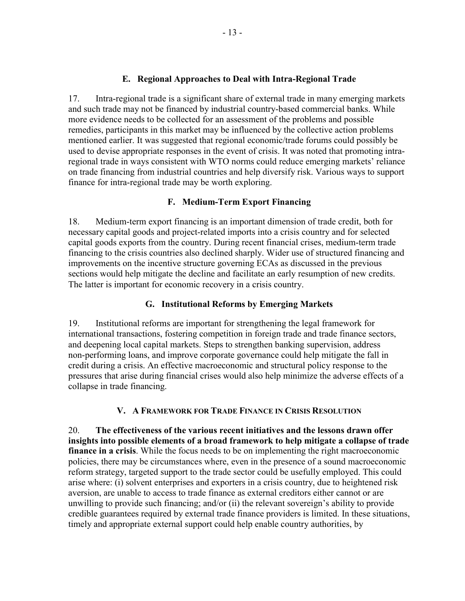#### **E. Regional Approaches to Deal with Intra-Regional Trade**

17. Intra-regional trade is a significant share of external trade in many emerging markets and such trade may not be financed by industrial country-based commercial banks. While more evidence needs to be collected for an assessment of the problems and possible remedies, participants in this market may be influenced by the collective action problems mentioned earlier. It was suggested that regional economic/trade forums could possibly be used to devise appropriate responses in the event of crisis. It was noted that promoting intraregional trade in ways consistent with WTO norms could reduce emerging markets' reliance on trade financing from industrial countries and help diversify risk. Various ways to support finance for intra-regional trade may be worth exploring.

#### **F. Medium-Term Export Financing**

18. Medium-term export financing is an important dimension of trade credit, both for necessary capital goods and project-related imports into a crisis country and for selected capital goods exports from the country. During recent financial crises, medium-term trade financing to the crisis countries also declined sharply. Wider use of structured financing and improvements on the incentive structure governing ECAs as discussed in the previous sections would help mitigate the decline and facilitate an early resumption of new credits. The latter is important for economic recovery in a crisis country.

# **G. Institutional Reforms by Emerging Markets**

19. Institutional reforms are important for strengthening the legal framework for international transactions, fostering competition in foreign trade and trade finance sectors, and deepening local capital markets. Steps to strengthen banking supervision, address non-performing loans, and improve corporate governance could help mitigate the fall in credit during a crisis. An effective macroeconomic and structural policy response to the pressures that arise during financial crises would also help minimize the adverse effects of a collapse in trade financing.

# **V. A FRAMEWORK FOR TRADE FINANCE IN CRISIS RESOLUTION**

20. **The effectiveness of the various recent initiatives and the lessons drawn offer insights into possible elements of a broad framework to help mitigate a collapse of trade finance in a crisis**. While the focus needs to be on implementing the right macroeconomic policies, there may be circumstances where, even in the presence of a sound macroeconomic reform strategy, targeted support to the trade sector could be usefully employed. This could arise where: (i) solvent enterprises and exporters in a crisis country, due to heightened risk aversion, are unable to access to trade finance as external creditors either cannot or are unwilling to provide such financing; and/or (ii) the relevant sovereign's ability to provide credible guarantees required by external trade finance providers is limited. In these situations, timely and appropriate external support could help enable country authorities, by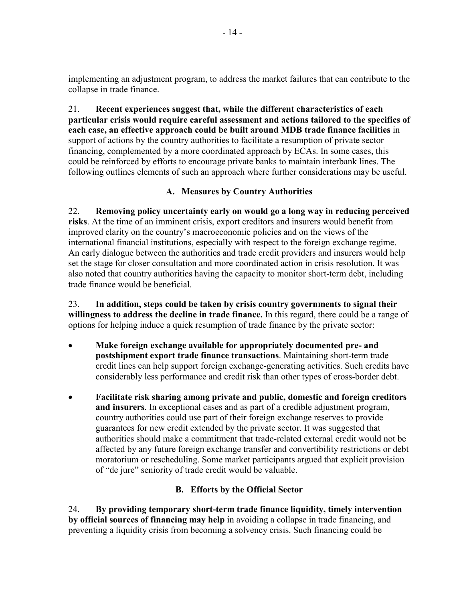implementing an adjustment program, to address the market failures that can contribute to the collapse in trade finance.

21. **Recent experiences suggest that, while the different characteristics of each particular crisis would require careful assessment and actions tailored to the specifics of each case, an effective approach could be built around MDB trade finance facilities** in support of actions by the country authorities to facilitate a resumption of private sector financing, complemented by a more coordinated approach by ECAs. In some cases, this could be reinforced by efforts to encourage private banks to maintain interbank lines. The following outlines elements of such an approach where further considerations may be useful.

# **A. Measures by Country Authorities**

22. **Removing policy uncertainty early on would go a long way in reducing perceived risks**. At the time of an imminent crisis, export creditors and insurers would benefit from improved clarity on the country's macroeconomic policies and on the views of the international financial institutions, especially with respect to the foreign exchange regime. An early dialogue between the authorities and trade credit providers and insurers would help set the stage for closer consultation and more coordinated action in crisis resolution. It was also noted that country authorities having the capacity to monitor short-term debt, including trade finance would be beneficial.

23. **In addition, steps could be taken by crisis country governments to signal their willingness to address the decline in trade finance.** In this regard, there could be a range of options for helping induce a quick resumption of trade finance by the private sector:

- **Make foreign exchange available for appropriately documented pre- and postshipment export trade finance transactions**. Maintaining short-term trade credit lines can help support foreign exchange-generating activities. Such credits have considerably less performance and credit risk than other types of cross-border debt.
- **Facilitate risk sharing among private and public, domestic and foreign creditors and insurers**. In exceptional cases and as part of a credible adjustment program, country authorities could use part of their foreign exchange reserves to provide guarantees for new credit extended by the private sector. It was suggested that authorities should make a commitment that trade-related external credit would not be affected by any future foreign exchange transfer and convertibility restrictions or debt moratorium or rescheduling. Some market participants argued that explicit provision of "de jure" seniority of trade credit would be valuable.

# **B. Efforts by the Official Sector**

24. **By providing temporary short-term trade finance liquidity, timely intervention by official sources of financing may help** in avoiding a collapse in trade financing, and preventing a liquidity crisis from becoming a solvency crisis. Such financing could be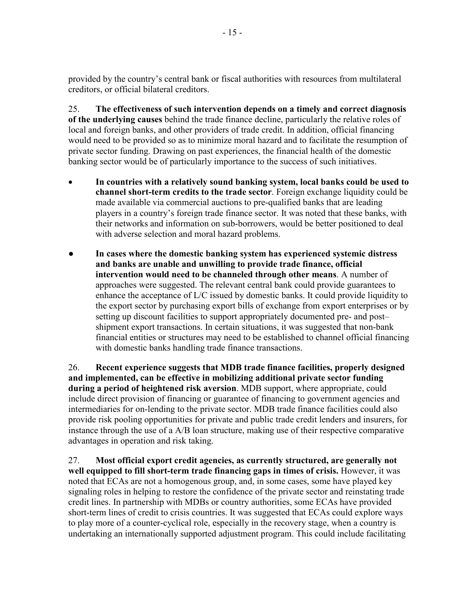provided by the country's central bank or fiscal authorities with resources from multilateral creditors, or official bilateral creditors.

25. **The effectiveness of such intervention depends on a timely and correct diagnosis of the underlying causes** behind the trade finance decline, particularly the relative roles of local and foreign banks, and other providers of trade credit. In addition, official financing would need to be provided so as to minimize moral hazard and to facilitate the resumption of private sector funding. Drawing on past experiences, the financial health of the domestic banking sector would be of particularly importance to the success of such initiatives.

- **In countries with a relatively sound banking system, local banks could be used to channel short-term credits to the trade sector**. Foreign exchange liquidity could be made available via commercial auctions to pre-qualified banks that are leading players in a country's foreign trade finance sector. It was noted that these banks, with their networks and information on sub-borrowers, would be better positioned to deal with adverse selection and moral hazard problems.
- **In cases where the domestic banking system has experienced systemic distress and banks are unable and unwilling to provide trade finance, official intervention would need to be channeled through other means**. A number of approaches were suggested. The relevant central bank could provide guarantees to enhance the acceptance of L/C issued by domestic banks. It could provide liquidity to the export sector by purchasing export bills of exchange from export enterprises or by setting up discount facilities to support appropriately documented pre- and post– shipment export transactions. In certain situations, it was suggested that non-bank financial entities or structures may need to be established to channel official financing with domestic banks handling trade finance transactions.

26. **Recent experience suggests that MDB trade finance facilities, properly designed and implemented, can be effective in mobilizing additional private sector funding during a period of heightened risk aversion**. MDB support, where appropriate, could include direct provision of financing or guarantee of financing to government agencies and intermediaries for on-lending to the private sector. MDB trade finance facilities could also provide risk pooling opportunities for private and public trade credit lenders and insurers, for instance through the use of a A/B loan structure, making use of their respective comparative advantages in operation and risk taking.

27. **Most official export credit agencies, as currently structured, are generally not well equipped to fill short-term trade financing gaps in times of crisis.** However, it was noted that ECAs are not a homogenous group, and, in some cases, some have played key signaling roles in helping to restore the confidence of the private sector and reinstating trade credit lines. In partnership with MDBs or country authorities, some ECAs have provided short-term lines of credit to crisis countries. It was suggested that ECAs could explore ways to play more of a counter-cyclical role, especially in the recovery stage, when a country is undertaking an internationally supported adjustment program. This could include facilitating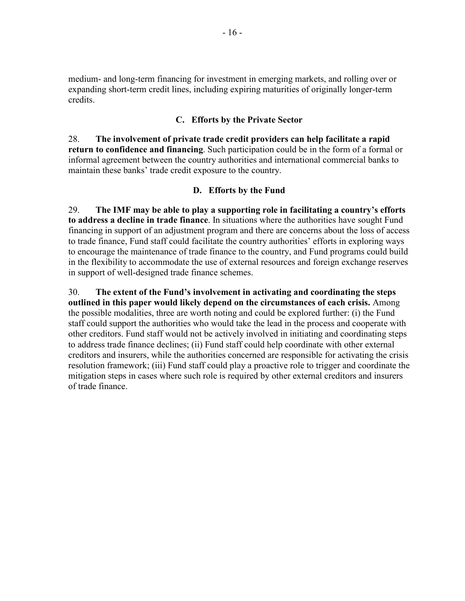medium- and long-term financing for investment in emerging markets, and rolling over or expanding short-term credit lines, including expiring maturities of originally longer-term credits.

#### **C. Efforts by the Private Sector**

28. **The involvement of private trade credit providers can help facilitate a rapid return to confidence and financing**. Such participation could be in the form of a formal or informal agreement between the country authorities and international commercial banks to maintain these banks' trade credit exposure to the country.

#### **D. Efforts by the Fund**

29. **The IMF may be able to play a supporting role in facilitating a country's efforts to address a decline in trade finance**. In situations where the authorities have sought Fund financing in support of an adjustment program and there are concerns about the loss of access to trade finance, Fund staff could facilitate the country authorities' efforts in exploring ways to encourage the maintenance of trade finance to the country, and Fund programs could build in the flexibility to accommodate the use of external resources and foreign exchange reserves in support of well-designed trade finance schemes.

30. **The extent of the Fund's involvement in activating and coordinating the steps outlined in this paper would likely depend on the circumstances of each crisis.** Among the possible modalities, three are worth noting and could be explored further: (i) the Fund staff could support the authorities who would take the lead in the process and cooperate with other creditors. Fund staff would not be actively involved in initiating and coordinating steps to address trade finance declines; (ii) Fund staff could help coordinate with other external creditors and insurers, while the authorities concerned are responsible for activating the crisis resolution framework; (iii) Fund staff could play a proactive role to trigger and coordinate the mitigation steps in cases where such role is required by other external creditors and insurers of trade finance.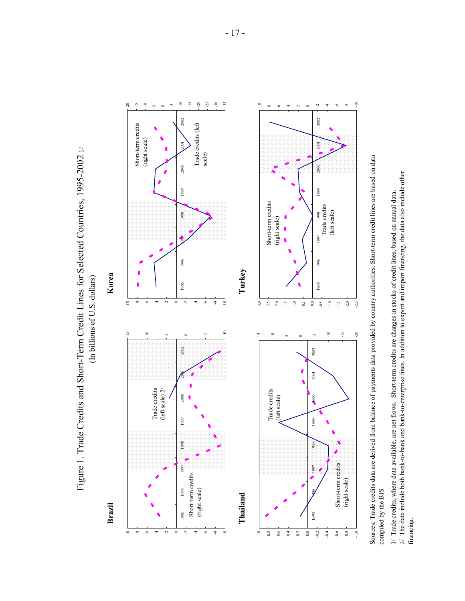

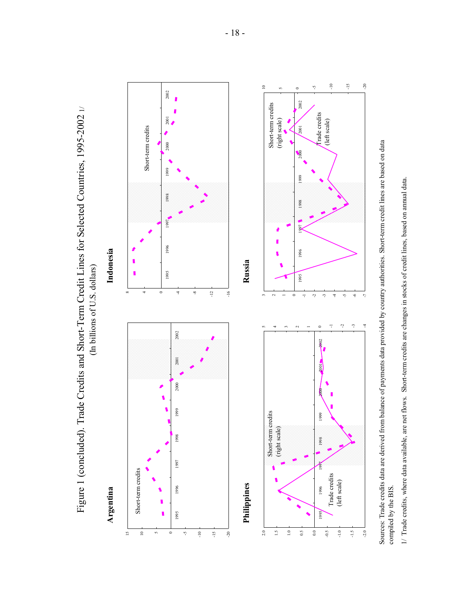

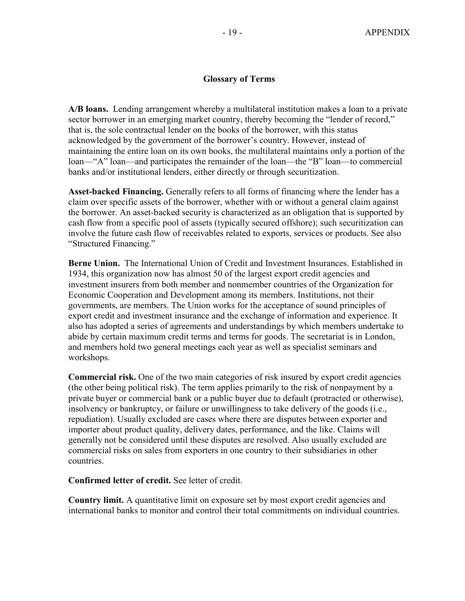#### **Glossary of Terms**

**A/B loans.** Lending arrangement whereby a multilateral institution makes a loan to a private sector borrower in an emerging market country, thereby becoming the "lender of record," that is, the sole contractual lender on the books of the borrower, with this status acknowledged by the government of the borrower's country. However, instead of maintaining the entire loan on its own books, the multilateral maintains only a portion of the loan—"A" loan—and participates the remainder of the loan—the "B" loan—to commercial banks and/or institutional lenders, either directly or through securitization.

**Asset-backed Financing.** Generally refers to all forms of financing where the lender has a claim over specific assets of the borrower, whether with or without a general claim against the borrower. An asset-backed security is characterized as an obligation that is supported by cash flow from a specific pool of assets (typically secured offshore); such securitization can involve the future cash flow of receivables related to exports, services or products. See also "Structured Financing."

**Berne Union.** The International Union of Credit and Investment Insurances. Established in 1934, this organization now has almost 50 of the largest export credit agencies and investment insurers from both member and nonmember countries of the Organization for Economic Cooperation and Development among its members. Institutions, not their governments, are members. The Union works for the acceptance of sound principles of export credit and investment insurance and the exchange of information and experience. It also has adopted a series of agreements and understandings by which members undertake to abide by certain maximum credit terms and terms for goods. The secretariat is in London, and members hold two general meetings each year as well as specialist seminars and workshops.

**Commercial risk.** One of the two main categories of risk insured by export credit agencies (the other being political risk). The term applies primarily to the risk of nonpayment by a private buyer or commercial bank or a public buyer due to default (protracted or otherwise), insolvency or bankruptcy, or failure or unwillingness to take delivery of the goods (i.e., repudiation). Usually excluded are cases where there are disputes between exporter and importer about product quality, delivery dates, performance, and the like. Claims will generally not be considered until these disputes are resolved. Also usually excluded are commercial risks on sales from exporters in one country to their subsidiaries in other countries.

**Confirmed letter of credit.** See letter of credit.

**Country limit.** A quantitative limit on exposure set by most export credit agencies and international banks to monitor and control their total commitments on individual countries.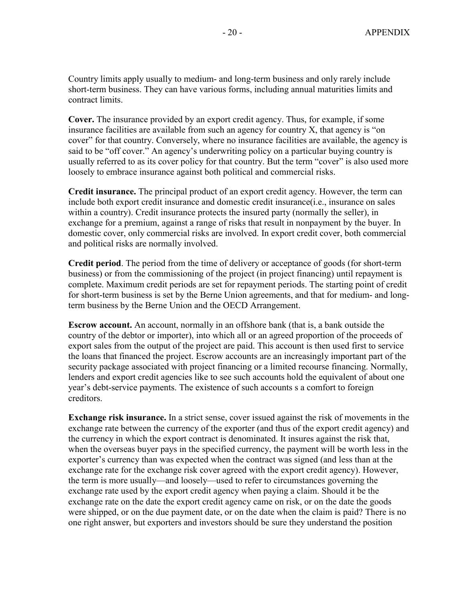Country limits apply usually to medium- and long-term business and only rarely include short-term business. They can have various forms, including annual maturities limits and contract limits.

**Cover.** The insurance provided by an export credit agency. Thus, for example, if some insurance facilities are available from such an agency for country X, that agency is "on cover" for that country. Conversely, where no insurance facilities are available, the agency is said to be "off cover." An agency's underwriting policy on a particular buying country is usually referred to as its cover policy for that country. But the term "cover" is also used more loosely to embrace insurance against both political and commercial risks.

**Credit insurance.** The principal product of an export credit agency. However, the term can include both export credit insurance and domestic credit insurance(i.e., insurance on sales within a country). Credit insurance protects the insured party (normally the seller), in exchange for a premium, against a range of risks that result in nonpayment by the buyer. In domestic cover, only commercial risks are involved. In export credit cover, both commercial and political risks are normally involved.

**Credit period**. The period from the time of delivery or acceptance of goods (for short-term business) or from the commissioning of the project (in project financing) until repayment is complete. Maximum credit periods are set for repayment periods. The starting point of credit for short-term business is set by the Berne Union agreements, and that for medium- and longterm business by the Berne Union and the OECD Arrangement.

**Escrow account.** An account, normally in an offshore bank (that is, a bank outside the country of the debtor or importer), into which all or an agreed proportion of the proceeds of export sales from the output of the project are paid. This account is then used first to service the loans that financed the project. Escrow accounts are an increasingly important part of the security package associated with project financing or a limited recourse financing. Normally, lenders and export credit agencies like to see such accounts hold the equivalent of about one year's debt-service payments. The existence of such accounts s a comfort to foreign creditors.

**Exchange risk insurance.** In a strict sense, cover issued against the risk of movements in the exchange rate between the currency of the exporter (and thus of the export credit agency) and the currency in which the export contract is denominated. It insures against the risk that, when the overseas buyer pays in the specified currency, the payment will be worth less in the exporter's currency than was expected when the contract was signed (and less than at the exchange rate for the exchange risk cover agreed with the export credit agency). However, the term is more usually—and loosely—used to refer to circumstances governing the exchange rate used by the export credit agency when paying a claim. Should it be the exchange rate on the date the export credit agency came on risk, or on the date the goods were shipped, or on the due payment date, or on the date when the claim is paid? There is no one right answer, but exporters and investors should be sure they understand the position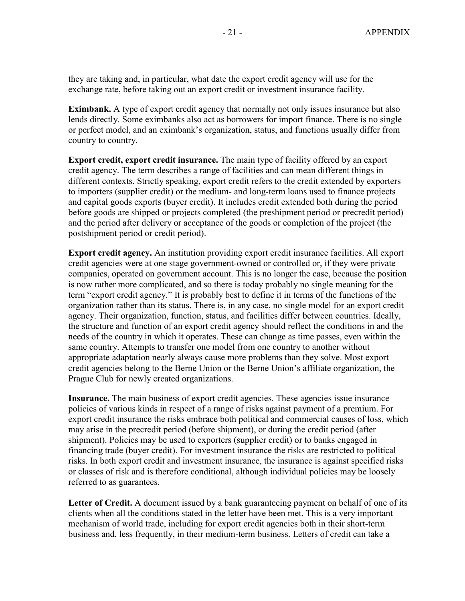they are taking and, in particular, what date the export credit agency will use for the exchange rate, before taking out an export credit or investment insurance facility.

**Eximbank.** A type of export credit agency that normally not only issues insurance but also lends directly. Some eximbanks also act as borrowers for import finance. There is no single or perfect model, and an eximbank's organization, status, and functions usually differ from country to country.

**Export credit, export credit insurance.** The main type of facility offered by an export credit agency. The term describes a range of facilities and can mean different things in different contexts. Strictly speaking, export credit refers to the credit extended by exporters to importers (supplier credit) or the medium- and long-term loans used to finance projects and capital goods exports (buyer credit). It includes credit extended both during the period before goods are shipped or projects completed (the preshipment period or precredit period) and the period after delivery or acceptance of the goods or completion of the project (the postshipment period or credit period).

**Export credit agency.** An institution providing export credit insurance facilities. All export credit agencies were at one stage government-owned or controlled or, if they were private companies, operated on government account. This is no longer the case, because the position is now rather more complicated, and so there is today probably no single meaning for the term "export credit agency." It is probably best to define it in terms of the functions of the organization rather than its status. There is, in any case, no single model for an export credit agency. Their organization, function, status, and facilities differ between countries. Ideally, the structure and function of an export credit agency should reflect the conditions in and the needs of the country in which it operates. These can change as time passes, even within the same country. Attempts to transfer one model from one country to another without appropriate adaptation nearly always cause more problems than they solve. Most export credit agencies belong to the Berne Union or the Berne Union's affiliate organization, the Prague Club for newly created organizations.

**Insurance.** The main business of export credit agencies. These agencies issue insurance policies of various kinds in respect of a range of risks against payment of a premium. For export credit insurance the risks embrace both political and commercial causes of loss, which may arise in the precredit period (before shipment), or during the credit period (after shipment). Policies may be used to exporters (supplier credit) or to banks engaged in financing trade (buyer credit). For investment insurance the risks are restricted to political risks. In both export credit and investment insurance, the insurance is against specified risks or classes of risk and is therefore conditional, although individual policies may be loosely referred to as guarantees.

Letter of Credit. A document issued by a bank guaranteeing payment on behalf of one of its clients when all the conditions stated in the letter have been met. This is a very important mechanism of world trade, including for export credit agencies both in their short-term business and, less frequently, in their medium-term business. Letters of credit can take a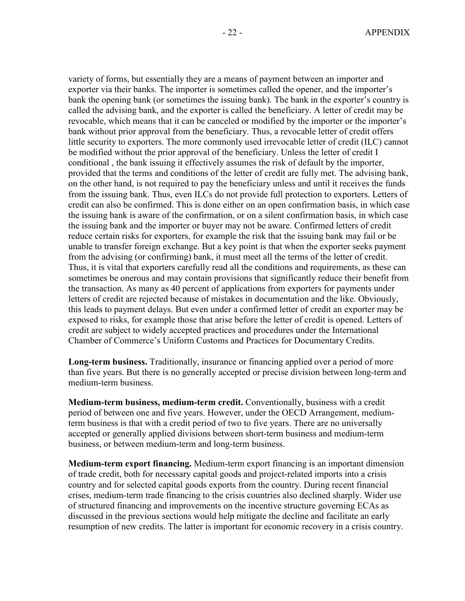variety of forms, but essentially they are a means of payment between an importer and exporter via their banks. The importer is sometimes called the opener, and the importer's bank the opening bank (or sometimes the issuing bank). The bank in the exporter's country is called the advising bank, and the exporter is called the beneficiary. A letter of credit may be revocable, which means that it can be canceled or modified by the importer or the importer's bank without prior approval from the beneficiary. Thus, a revocable letter of credit offers little security to exporters. The more commonly used irrevocable letter of credit (ILC) cannot be modified without the prior approval of the beneficiary. Unless the letter of credit I conditional , the bank issuing it effectively assumes the risk of default by the importer, provided that the terms and conditions of the letter of credit are fully met. The advising bank, on the other hand, is not required to pay the beneficiary unless and until it receives the funds from the issuing bank. Thus, even ILCs do not provide full protection to exporters. Letters of credit can also be confirmed. This is done either on an open confirmation basis, in which case the issuing bank is aware of the confirmation, or on a silent confirmation basis, in which case the issuing bank and the importer or buyer may not be aware. Confirmed letters of credit reduce certain risks for exporters, for example the risk that the issuing bank may fail or be unable to transfer foreign exchange. But a key point is that when the exporter seeks payment from the advising (or confirming) bank, it must meet all the terms of the letter of credit. Thus, it is vital that exporters carefully read all the conditions and requirements, as these can sometimes be onerous and may contain provisions that significantly reduce their benefit from the transaction. As many as 40 percent of applications from exporters for payments under letters of credit are rejected because of mistakes in documentation and the like. Obviously, this leads to payment delays. But even under a confirmed letter of credit an exporter may be exposed to risks, for example those that arise before the letter of credit is opened. Letters of credit are subject to widely accepted practices and procedures under the International Chamber of Commerce's Uniform Customs and Practices for Documentary Credits.

**Long-term business.** Traditionally, insurance or financing applied over a period of more than five years. But there is no generally accepted or precise division between long-term and medium-term business.

**Medium-term business, medium-term credit.** Conventionally, business with a credit period of between one and five years. However, under the OECD Arrangement, mediumterm business is that with a credit period of two to five years. There are no universally accepted or generally applied divisions between short-term business and medium-term business, or between medium-term and long-term business.

**Medium-term export financing.** Medium-term export financing is an important dimension of trade credit, both for necessary capital goods and project-related imports into a crisis country and for selected capital goods exports from the country. During recent financial crises, medium-term trade financing to the crisis countries also declined sharply. Wider use of structured financing and improvements on the incentive structure governing ECAs as discussed in the previous sections would help mitigate the decline and facilitate an early resumption of new credits. The latter is important for economic recovery in a crisis country.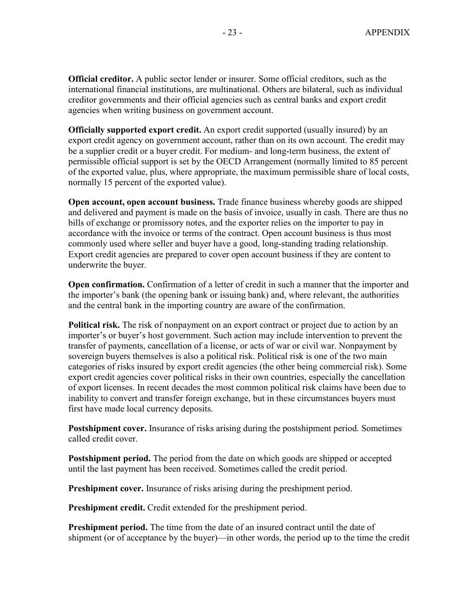**Official creditor.** A public sector lender or insurer. Some official creditors, such as the international financial institutions, are multinational. Others are bilateral, such as individual creditor governments and their official agencies such as central banks and export credit agencies when writing business on government account.

**Officially supported export credit.** An export credit supported (usually insured) by an export credit agency on government account, rather than on its own account. The credit may be a supplier credit or a buyer credit. For medium- and long-term business, the extent of permissible official support is set by the OECD Arrangement (normally limited to 85 percent of the exported value, plus, where appropriate, the maximum permissible share of local costs, normally 15 percent of the exported value).

**Open account, open account business.** Trade finance business whereby goods are shipped and delivered and payment is made on the basis of invoice, usually in cash. There are thus no bills of exchange or promissory notes, and the exporter relies on the importer to pay in accordance with the invoice or terms of the contract. Open account business is thus most commonly used where seller and buyer have a good, long-standing trading relationship. Export credit agencies are prepared to cover open account business if they are content to underwrite the buyer.

**Open confirmation.** Confirmation of a letter of credit in such a manner that the importer and the importer's bank (the opening bank or issuing bank) and, where relevant, the authorities and the central bank in the importing country are aware of the confirmation.

**Political risk.** The risk of nonpayment on an export contract or project due to action by an importer's or buyer's host government. Such action may include intervention to prevent the transfer of payments, cancellation of a license, or acts of war or civil war. Nonpayment by sovereign buyers themselves is also a political risk. Political risk is one of the two main categories of risks insured by export credit agencies (the other being commercial risk). Some export credit agencies cover political risks in their own countries, especially the cancellation of export licenses. In recent decades the most common political risk claims have been due to inability to convert and transfer foreign exchange, but in these circumstances buyers must first have made local currency deposits.

**Postshipment cover.** Insurance of risks arising during the postshipment period. Sometimes called credit cover.

**Postshipment period.** The period from the date on which goods are shipped or accepted until the last payment has been received. Sometimes called the credit period.

**Preshipment cover.** Insurance of risks arising during the preshipment period.

**Preshipment credit.** Credit extended for the preshipment period.

**Preshipment period.** The time from the date of an insured contract until the date of shipment (or of acceptance by the buyer)—in other words, the period up to the time the credit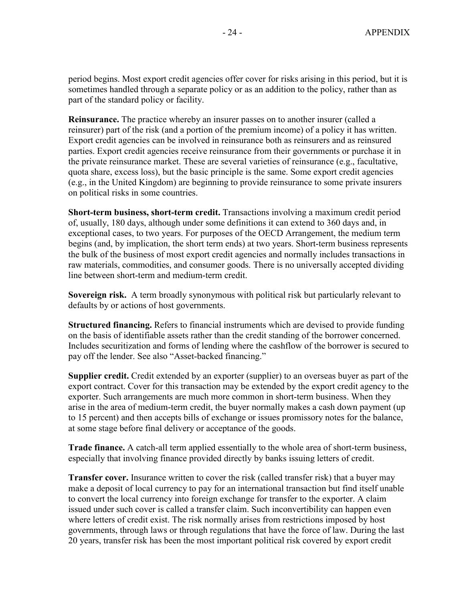period begins. Most export credit agencies offer cover for risks arising in this period, but it is sometimes handled through a separate policy or as an addition to the policy, rather than as part of the standard policy or facility.

**Reinsurance.** The practice whereby an insurer passes on to another insurer (called a reinsurer) part of the risk (and a portion of the premium income) of a policy it has written. Export credit agencies can be involved in reinsurance both as reinsurers and as reinsured parties. Export credit agencies receive reinsurance from their governments or purchase it in the private reinsurance market. These are several varieties of reinsurance (e.g., facultative, quota share, excess loss), but the basic principle is the same. Some export credit agencies (e.g., in the United Kingdom) are beginning to provide reinsurance to some private insurers on political risks in some countries.

**Short-term business, short-term credit.** Transactions involving a maximum credit period of, usually, 180 days, although under some definitions it can extend to 360 days and, in exceptional cases, to two years. For purposes of the OECD Arrangement, the medium term begins (and, by implication, the short term ends) at two years. Short-term business represents the bulk of the business of most export credit agencies and normally includes transactions in raw materials, commodities, and consumer goods. There is no universally accepted dividing line between short-term and medium-term credit.

**Sovereign risk.** A term broadly synonymous with political risk but particularly relevant to defaults by or actions of host governments.

**Structured financing.** Refers to financial instruments which are devised to provide funding on the basis of identifiable assets rather than the credit standing of the borrower concerned. Includes securitization and forms of lending where the cashflow of the borrower is secured to pay off the lender. See also "Asset-backed financing."

**Supplier credit.** Credit extended by an exporter (supplier) to an overseas buyer as part of the export contract. Cover for this transaction may be extended by the export credit agency to the exporter. Such arrangements are much more common in short-term business. When they arise in the area of medium-term credit, the buyer normally makes a cash down payment (up to 15 percent) and then accepts bills of exchange or issues promissory notes for the balance, at some stage before final delivery or acceptance of the goods.

**Trade finance.** A catch-all term applied essentially to the whole area of short-term business, especially that involving finance provided directly by banks issuing letters of credit.

**Transfer cover.** Insurance written to cover the risk (called transfer risk) that a buyer may make a deposit of local currency to pay for an international transaction but find itself unable to convert the local currency into foreign exchange for transfer to the exporter. A claim issued under such cover is called a transfer claim. Such inconvertibility can happen even where letters of credit exist. The risk normally arises from restrictions imposed by host governments, through laws or through regulations that have the force of law. During the last 20 years, transfer risk has been the most important political risk covered by export credit